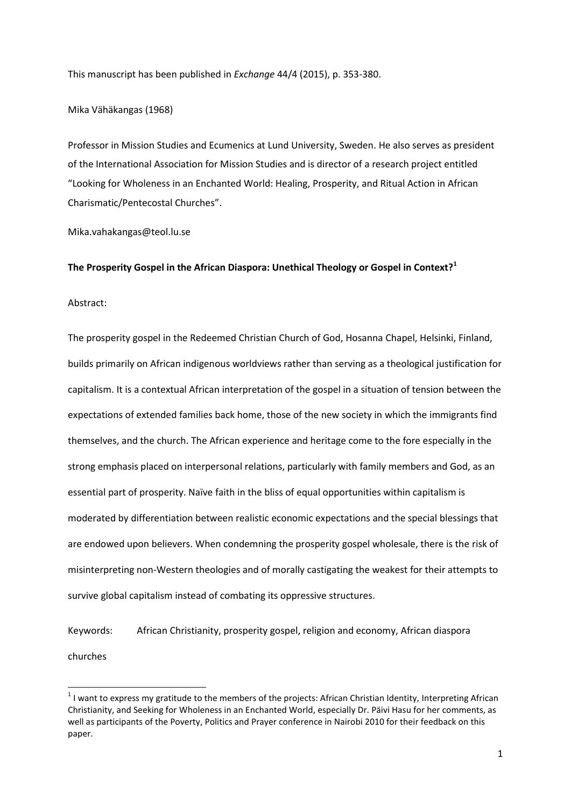This manuscript has been published in *Exchange* 44/4 (2015), p. 353-380.

Mika Vähäkangas (1968)

Professor in Mission Studies and Ecumenics at Lund University, Sweden. He also serves as president of the International Association for Mission Studies and is director of a research project entitled "Looking for Wholeness in an Enchanted World: Healing, Prosperity, and Ritual Action in African Charismatic/Pentecostal Churches".

Mika.vahakangas@teol.lu.se

**The Prosperity Gospel in the African Diaspora: Unethical Theology or Gospel in Context?<sup>1</sup>**

Abstract:

1

The prosperity gospel in the Redeemed Christian Church of God, Hosanna Chapel, Helsinki, Finland, builds primarily on African indigenous worldviews rather than serving as a theological justification for capitalism. It is a contextual African interpretation of the gospel in a situation of tension between the expectations of extended families back home, those of the new society in which the immigrants find themselves, and the church. The African experience and heritage come to the fore especially in the strong emphasis placed on interpersonal relations, particularly with family members and God, as an essential part of prosperity. Naïve faith in the bliss of equal opportunities within capitalism is moderated by differentiation between realistic economic expectations and the special blessings that are endowed upon believers. When condemning the prosperity gospel wholesale, there is the risk of misinterpreting non-Western theologies and of morally castigating the weakest for their attempts to survive global capitalism instead of combating its oppressive structures.

Keywords: African Christianity, prosperity gospel, religion and economy, African diaspora churches

 $1$ I want to express my gratitude to the members of the projects: African Christian Identity, Interpreting African Christianity, and Seeking for Wholeness in an Enchanted World, especially Dr. Päivi Hasu for her comments, as well as participants of the Poverty, Politics and Prayer conference in Nairobi 2010 for their feedback on this paper.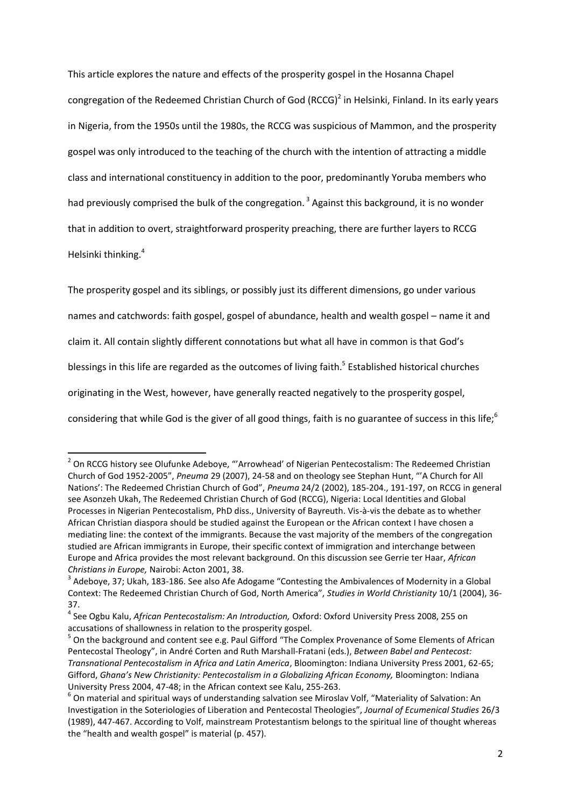This article explores the nature and effects of the prosperity gospel in the Hosanna Chapel congregation of the Redeemed Christian Church of God (RCCG)<sup>2</sup> in Helsinki, Finland. In its early years in Nigeria, from the 1950s until the 1980s, the RCCG was suspicious of Mammon, and the prosperity gospel was only introduced to the teaching of the church with the intention of attracting a middle class and international constituency in addition to the poor, predominantly Yoruba members who had previously comprised the bulk of the congregation.<sup>3</sup> Against this background, it is no wonder that in addition to overt, straightforward prosperity preaching, there are further layers to RCCG Helsinki thinking.<sup>4</sup>

The prosperity gospel and its siblings, or possibly just its different dimensions, go under various names and catchwords: faith gospel, gospel of abundance, health and wealth gospel – name it and claim it. All contain slightly different connotations but what all have in common is that God's blessings in this life are regarded as the outcomes of living faith.<sup>5</sup> Established historical churches originating in the West, however, have generally reacted negatively to the prosperity gospel, considering that while God is the giver of all good things, faith is no guarantee of success in this life; $6$ 

 $2$  On RCCG history see Olufunke Adeboye, "'Arrowhead' of Nigerian Pentecostalism: The Redeemed Christian Church of God 1952-2005", *Pneuma* 29 (2007), 24-58 and on theology see Stephan Hunt, "'A Church for All Nations': The Redeemed Christian Church of God", *Pneuma* 24/2 (2002), 185-204., 191-197, on RCCG in general see Asonzeh Ukah, The Redeemed Christian Church of God (RCCG), Nigeria: Local Identities and Global Processes in Nigerian Pentecostalism, PhD diss., University of Bayreuth. Vis-à-vis the debate as to whether African Christian diaspora should be studied against the European or the African context I have chosen a mediating line: the context of the immigrants. Because the vast majority of the members of the congregation studied are African immigrants in Europe, their specific context of immigration and interchange between Europe and Africa provides the most relevant background. On this discussion see Gerrie ter Haar, *African Christians in Europe,* Nairobi: Acton 2001, 38.

 $3$  Adeboye, 37; Ukah, 183-186. See also Afe Adogame "Contesting the Ambivalences of Modernity in a Global Context: The Redeemed Christian Church of God, North America", *Studies in World Christianity* 10/1 (2004), 36- 37.

<sup>4</sup> See Ogbu Kalu, *African Pentecostalism: An Introduction,* Oxford: Oxford University Press 2008, 255 on accusations of shallowness in relation to the prosperity gospel.

<sup>&</sup>lt;sup>5</sup> On the background and content see e.g. Paul Gifford "The Complex Provenance of Some Elements of African Pentecostal Theology", in André Corten and Ruth Marshall-Fratani (eds.), *Between Babel and Pentecost: Transnational Pentecostalism in Africa and Latin America*, Bloomington: Indiana University Press 2001, 62-65; Gifford, *Ghana's New Christianity: Pentecostalism in a Globalizing African Economy,* Bloomington: Indiana University Press 2004, 47-48; in the African context see Kalu, 255-263.

<sup>6</sup> On material and spiritual ways of understanding salvation see Miroslav Volf, "Materiality of Salvation: An Investigation in the Soteriologies of Liberation and Pentecostal Theologies", *Journal of Ecumenical Studies* 26/3 (1989), 447-467. According to Volf, mainstream Protestantism belongs to the spiritual line of thought whereas the "health and wealth gospel" is material (p. 457).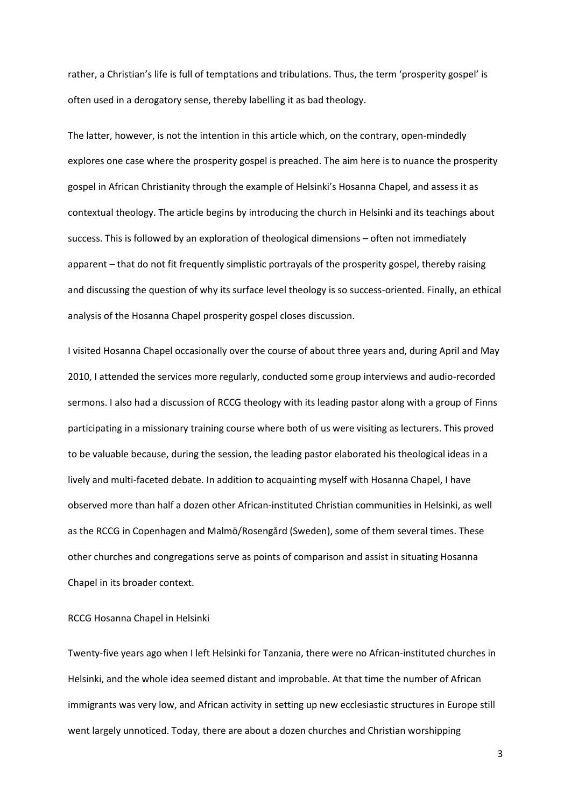rather, a Christian's life is full of temptations and tribulations. Thus, the term 'prosperity gospel' is often used in a derogatory sense, thereby labelling it as bad theology.

The latter, however, is not the intention in this article which, on the contrary, open-mindedly explores one case where the prosperity gospel is preached. The aim here is to nuance the prosperity gospel in African Christianity through the example of Helsinki's Hosanna Chapel, and assess it as contextual theology. The article begins by introducing the church in Helsinki and its teachings about success. This is followed by an exploration of theological dimensions – often not immediately apparent – that do not fit frequently simplistic portrayals of the prosperity gospel, thereby raising and discussing the question of why its surface level theology is so success-oriented. Finally, an ethical analysis of the Hosanna Chapel prosperity gospel closes discussion.

I visited Hosanna Chapel occasionally over the course of about three years and, during April and May 2010, I attended the services more regularly, conducted some group interviews and audio-recorded sermons. I also had a discussion of RCCG theology with its leading pastor along with a group of Finns participating in a missionary training course where both of us were visiting as lecturers. This proved to be valuable because, during the session, the leading pastor elaborated his theological ideas in a lively and multi-faceted debate. In addition to acquainting myself with Hosanna Chapel, I have observed more than half a dozen other African-instituted Christian communities in Helsinki, as well as the RCCG in Copenhagen and Malmö/Rosengård (Sweden), some of them several times. These other churches and congregations serve as points of comparison and assist in situating Hosanna Chapel in its broader context.

## RCCG Hosanna Chapel in Helsinki

Twenty-five years ago when I left Helsinki for Tanzania, there were no African-instituted churches in Helsinki, and the whole idea seemed distant and improbable. At that time the number of African immigrants was very low, and African activity in setting up new ecclesiastic structures in Europe still went largely unnoticed. Today, there are about a dozen churches and Christian worshipping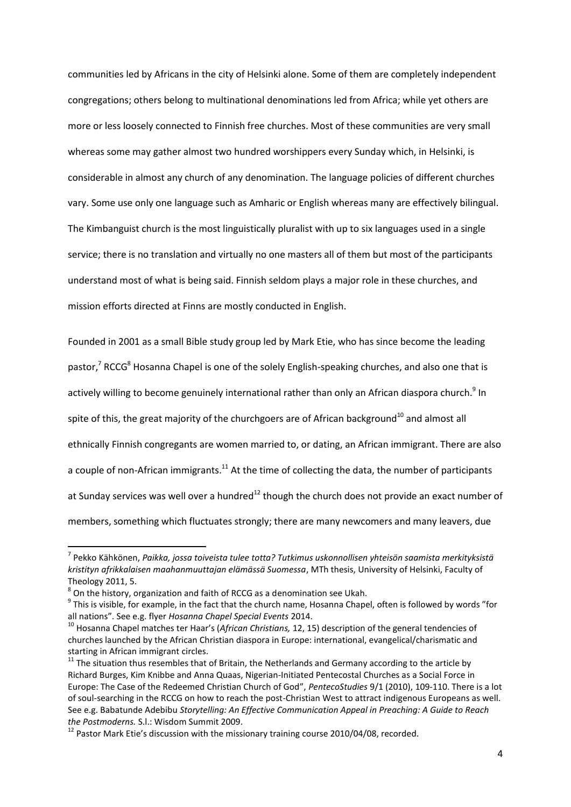communities led by Africans in the city of Helsinki alone. Some of them are completely independent congregations; others belong to multinational denominations led from Africa; while yet others are more or less loosely connected to Finnish free churches. Most of these communities are very small whereas some may gather almost two hundred worshippers every Sunday which, in Helsinki, is considerable in almost any church of any denomination. The language policies of different churches vary. Some use only one language such as Amharic or English whereas many are effectively bilingual. The Kimbanguist church is the most linguistically pluralist with up to six languages used in a single service; there is no translation and virtually no one masters all of them but most of the participants understand most of what is being said. Finnish seldom plays a major role in these churches, and mission efforts directed at Finns are mostly conducted in English.

Founded in 2001 as a small Bible study group led by Mark Etie, who has since become the leading pastor,<sup>7</sup> RCCG<sup>8</sup> Hosanna Chapel is one of the solely English-speaking churches, and also one that is actively willing to become genuinely international rather than only an African diaspora church.<sup>9</sup> In spite of this, the great majority of the churchgoers are of African background<sup>10</sup> and almost all ethnically Finnish congregants are women married to, or dating, an African immigrant. There are also a couple of non-African immigrants.<sup>11</sup> At the time of collecting the data, the number of participants at Sunday services was well over a hundred $^{12}$  though the church does not provide an exact number of members, something which fluctuates strongly; there are many newcomers and many leavers, due

<sup>&</sup>lt;sup>7</sup> Pekko Kähkönen, *Paikka, jossa toiveista tulee totta? Tutkimus uskonnollisen yhteisön saamista merkityksistä kristityn afrikkalaisen maahanmuuttajan elämässä Suomessa*, MTh thesis, University of Helsinki, Faculty of Theology 2011, 5.

 $^8$  On the history, organization and faith of RCCG as a denomination see Ukah.

 $^9$  This is visible, for example, in the fact that the church name, Hosanna Chapel, often is followed by words "for all nations". See e.g. flyer *Hosanna Chapel Special Events* 2014.

<sup>10</sup> Hosanna Chapel matches ter Haar's (*African Christians,* 12, 15) description of the general tendencies of churches launched by the African Christian diaspora in Europe: international, evangelical/charismatic and starting in African immigrant circles.

<sup>11</sup> The situation thus resembles that of Britain, the Netherlands and Germany according to the article by Richard Burges, Kim Knibbe and Anna Quaas, Nigerian-Initiated Pentecostal Churches as a Social Force in Europe: The Case of the Redeemed Christian Church of God", *PentecoStudies* 9/1 (2010), 109-110. There is a lot of soul-searching in the RCCG on how to reach the post-Christian West to attract indigenous Europeans as well. See e.g. Babatunde Adebibu *Storytelling: An Effective Communication Appeal in Preaching: A Guide to Reach the Postmoderns.* S.l.: Wisdom Summit 2009.

 $12$  Pastor Mark Etie's discussion with the missionary training course 2010/04/08, recorded.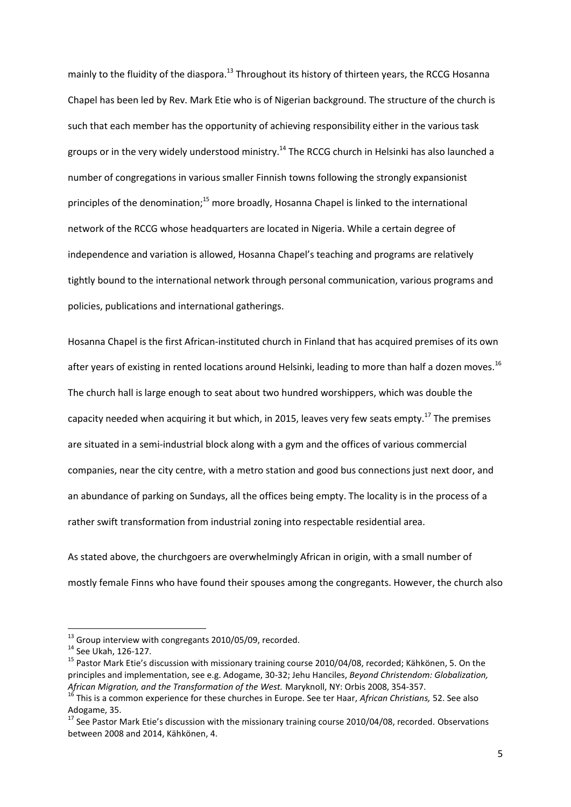mainly to the fluidity of the diaspora.<sup>13</sup> Throughout its history of thirteen years, the RCCG Hosanna Chapel has been led by Rev. Mark Etie who is of Nigerian background. The structure of the church is such that each member has the opportunity of achieving responsibility either in the various task groups or in the very widely understood ministry.<sup>14</sup> The RCCG church in Helsinki has also launched a number of congregations in various smaller Finnish towns following the strongly expansionist principles of the denomination;<sup>15</sup> more broadly, Hosanna Chapel is linked to the international network of the RCCG whose headquarters are located in Nigeria. While a certain degree of independence and variation is allowed, Hosanna Chapel's teaching and programs are relatively tightly bound to the international network through personal communication, various programs and policies, publications and international gatherings.

Hosanna Chapel is the first African-instituted church in Finland that has acquired premises of its own after years of existing in rented locations around Helsinki, leading to more than half a dozen moves.<sup>16</sup> The church hall is large enough to seat about two hundred worshippers, which was double the capacity needed when acquiring it but which, in 2015, leaves very few seats empty.<sup>17</sup> The premises are situated in a semi-industrial block along with a gym and the offices of various commercial companies, near the city centre, with a metro station and good bus connections just next door, and an abundance of parking on Sundays, all the offices being empty. The locality is in the process of a rather swift transformation from industrial zoning into respectable residential area.

As stated above, the churchgoers are overwhelmingly African in origin, with a small number of mostly female Finns who have found their spouses among the congregants. However, the church also

 $^{13}$  Group interview with congregants 2010/05/09, recorded.

<sup>14</sup> See Ukah, 126-127.

<sup>&</sup>lt;sup>15</sup> Pastor Mark Etie's discussion with missionary training course 2010/04/08, recorded; Kähkönen, 5. On the principles and implementation, see e.g. Adogame, 30-32; Jehu Hanciles, *Beyond Christendom: Globalization, African Migration, and the Transformation of the West. Maryknoll, NY: Orbis 2008, 354-357.*<br><sup>16</sup> This is a set of the *Transformation of the West. Maryknoll, NY: Orbis 2008, 354-357.* 

<sup>16</sup> This is a common experience for these churches in Europe. See ter Haar, *African Christians,* 52. See also Adogame, 35.

<sup>&</sup>lt;sup>17</sup> See Pastor Mark Etie's discussion with the missionary training course 2010/04/08, recorded. Observations between 2008 and 2014, Kähkönen, 4.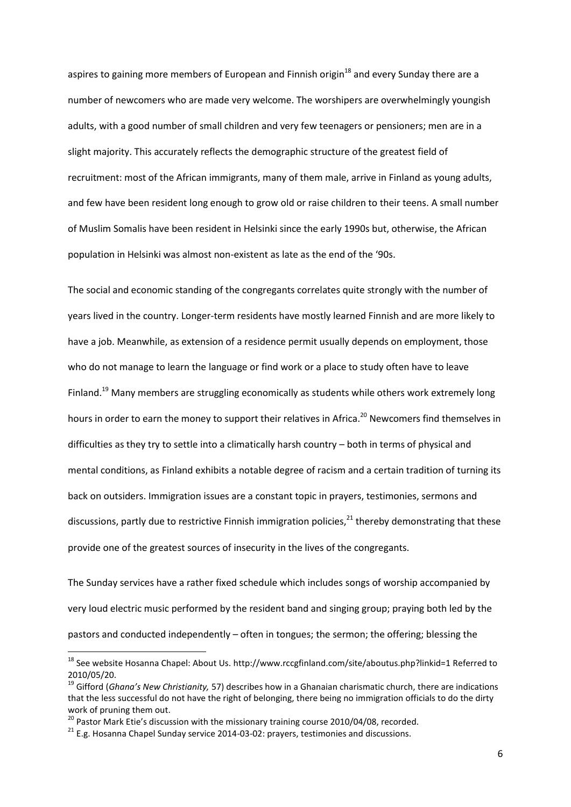aspires to gaining more members of European and Finnish origin $18$  and every Sunday there are a number of newcomers who are made very welcome. The worshipers are overwhelmingly youngish adults, with a good number of small children and very few teenagers or pensioners; men are in a slight majority. This accurately reflects the demographic structure of the greatest field of recruitment: most of the African immigrants, many of them male, arrive in Finland as young adults, and few have been resident long enough to grow old or raise children to their teens. A small number of Muslim Somalis have been resident in Helsinki since the early 1990s but, otherwise, the African population in Helsinki was almost non-existent as late as the end of the '90s.

The social and economic standing of the congregants correlates quite strongly with the number of years lived in the country. Longer-term residents have mostly learned Finnish and are more likely to have a job. Meanwhile, as extension of a residence permit usually depends on employment, those who do not manage to learn the language or find work or a place to study often have to leave Finland.<sup>19</sup> Many members are struggling economically as students while others work extremely long hours in order to earn the money to support their relatives in Africa.<sup>20</sup> Newcomers find themselves in difficulties as they try to settle into a climatically harsh country – both in terms of physical and mental conditions, as Finland exhibits a notable degree of racism and a certain tradition of turning its back on outsiders. Immigration issues are a constant topic in prayers, testimonies, sermons and discussions, partly due to restrictive Finnish immigration policies, $^{21}$  thereby demonstrating that these provide one of the greatest sources of insecurity in the lives of the congregants.

The Sunday services have a rather fixed schedule which includes songs of worship accompanied by very loud electric music performed by the resident band and singing group; praying both led by the pastors and conducted independently – often in tongues; the sermon; the offering; blessing the

<sup>&</sup>lt;sup>18</sup> See website Hosanna Chapel: About Us. http://www.rccgfinland.com/site/aboutus.php?linkid=1 Referred to 2010/05/20.

<sup>19</sup> Gifford (*Ghana's New Christianity,* 57) describes how in a Ghanaian charismatic church, there are indications that the less successful do not have the right of belonging, there being no immigration officials to do the dirty work of pruning them out.

<sup>&</sup>lt;sup>20</sup> Pastor Mark Etie's discussion with the missionary training course 2010/04/08, recorded.

 $21$  E.g. Hosanna Chapel Sunday service 2014-03-02: prayers, testimonies and discussions.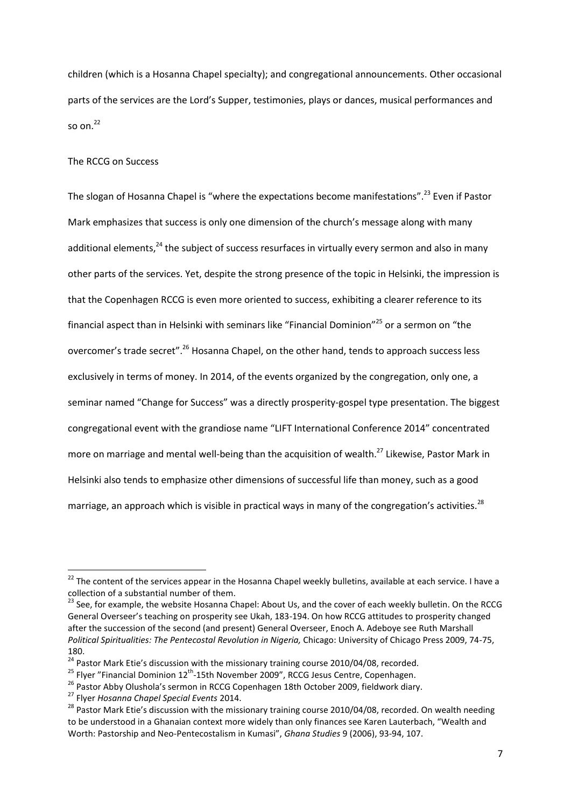children (which is a Hosanna Chapel specialty); and congregational announcements. Other occasional parts of the services are the Lord's Supper, testimonies, plays or dances, musical performances and so on. $^{22}$ 

## The RCCG on Success

The slogan of Hosanna Chapel is "where the expectations become manifestations".<sup>23</sup> Even if Pastor Mark emphasizes that success is only one dimension of the church's message along with many additional elements, $^{24}$  the subject of success resurfaces in virtually every sermon and also in many other parts of the services. Yet, despite the strong presence of the topic in Helsinki, the impression is that the Copenhagen RCCG is even more oriented to success, exhibiting a clearer reference to its financial aspect than in Helsinki with seminars like "Financial Dominion"<sup>25</sup> or a sermon on "the overcomer's trade secret".<sup>26</sup> Hosanna Chapel, on the other hand, tends to approach success less exclusively in terms of money. In 2014, of the events organized by the congregation, only one, a seminar named "Change for Success" was a directly prosperity-gospel type presentation. The biggest congregational event with the grandiose name "LIFT International Conference 2014" concentrated more on marriage and mental well-being than the acquisition of wealth.<sup>27</sup> Likewise, Pastor Mark in Helsinki also tends to emphasize other dimensions of successful life than money, such as a good marriage, an approach which is visible in practical ways in many of the congregation's activities.<sup>28</sup>

<sup>&</sup>lt;sup>22</sup> The content of the services appear in the Hosanna Chapel weekly bulletins, available at each service. I have a collection of a substantial number of them.

 $^{23}$  See, for example, the website Hosanna Chapel: About Us, and the cover of each weekly bulletin. On the RCCG General Overseer's teaching on prosperity see Ukah, 183-194. On how RCCG attitudes to prosperity changed after the succession of the second (and present) General Overseer, Enoch A. Adeboye see Ruth Marshall *Political Spiritualities: The Pentecostal Revolution in Nigeria,* Chicago: University of Chicago Press 2009, 74-75, 180.

<sup>24</sup> Pastor Mark Etie's discussion with the missionary training course 2010/04/08, recorded.

<sup>&</sup>lt;sup>25</sup> Flyer "Financial Dominion 12<sup>th</sup>-15th November 2009", RCCG Jesus Centre, Copenhagen.

<sup>&</sup>lt;sup>26</sup> Pastor Abby Olushola's sermon in RCCG Copenhagen 18th October 2009, fieldwork diary.

<sup>27</sup> Flyer *Hosanna Chapel Special Events* 2014.

<sup>&</sup>lt;sup>28</sup> Pastor Mark Etie's discussion with the missionary training course 2010/04/08, recorded. On wealth needing to be understood in a Ghanaian context more widely than only finances see Karen Lauterbach, "Wealth and Worth: Pastorship and Neo-Pentecostalism in Kumasi", *Ghana Studies* 9 (2006), 93-94, 107.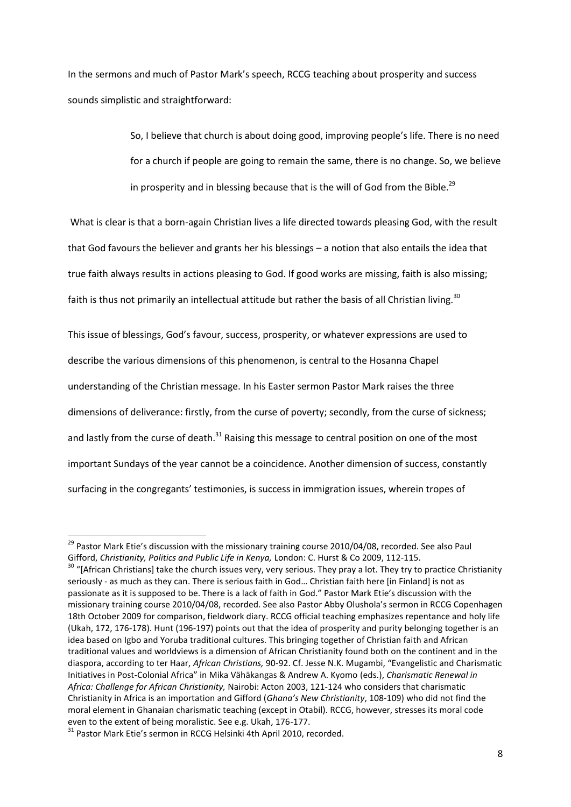In the sermons and much of Pastor Mark's speech, RCCG teaching about prosperity and success sounds simplistic and straightforward:

> So, I believe that church is about doing good, improving people's life. There is no need for a church if people are going to remain the same, there is no change. So, we believe in prosperity and in blessing because that is the will of God from the Bible.<sup>29</sup>

What is clear is that a born-again Christian lives a life directed towards pleasing God, with the result that God favours the believer and grants her his blessings – a notion that also entails the idea that true faith always results in actions pleasing to God. If good works are missing, faith is also missing; faith is thus not primarily an intellectual attitude but rather the basis of all Christian living.<sup>30</sup>

This issue of blessings, God's favour, success, prosperity, or whatever expressions are used to describe the various dimensions of this phenomenon, is central to the Hosanna Chapel understanding of the Christian message. In his Easter sermon Pastor Mark raises the three dimensions of deliverance: firstly, from the curse of poverty; secondly, from the curse of sickness; and lastly from the curse of death.<sup>31</sup> Raising this message to central position on one of the most important Sundays of the year cannot be a coincidence. Another dimension of success, constantly surfacing in the congregants' testimonies, is success in immigration issues, wherein tropes of

<sup>&</sup>lt;sup>29</sup> Pastor Mark Etie's discussion with the missionary training course 2010/04/08, recorded. See also Paul Gifford, *Christianity, Politics and Public Life in Kenya,* London: C. Hurst & Co 2009, 112-115.

<sup>&</sup>lt;sup>30</sup> "[African Christians] take the church issues very, very serious. They pray a lot. They try to practice Christianity seriously - as much as they can. There is serious faith in God… Christian faith here [in Finland] is not as passionate as it is supposed to be. There is a lack of faith in God." Pastor Mark Etie's discussion with the missionary training course 2010/04/08, recorded. See also Pastor Abby Olushola's sermon in RCCG Copenhagen 18th October 2009 for comparison, fieldwork diary. RCCG official teaching emphasizes repentance and holy life (Ukah, 172, 176-178). Hunt (196-197) points out that the idea of prosperity and purity belonging together is an idea based on Igbo and Yoruba traditional cultures. This bringing together of Christian faith and African traditional values and worldviews is a dimension of African Christianity found both on the continent and in the diaspora, according to ter Haar, *African Christians,* 90-92. Cf. Jesse N.K. Mugambi, "Evangelistic and Charismatic Initiatives in Post-Colonial Africa" in Mika Vähäkangas & Andrew A. Kyomo (eds.), *Charismatic Renewal in Africa: Challenge for African Christianity,* Nairobi: Acton 2003, 121-124 who considers that charismatic Christianity in Africa is an importation and Gifford (*Ghana's New Christianity*, 108-109) who did not find the moral element in Ghanaian charismatic teaching (except in Otabil). RCCG, however, stresses its moral code even to the extent of being moralistic. See e.g. Ukah, 176-177.

<sup>&</sup>lt;sup>31</sup> Pastor Mark Etie's sermon in RCCG Helsinki 4th April 2010, recorded.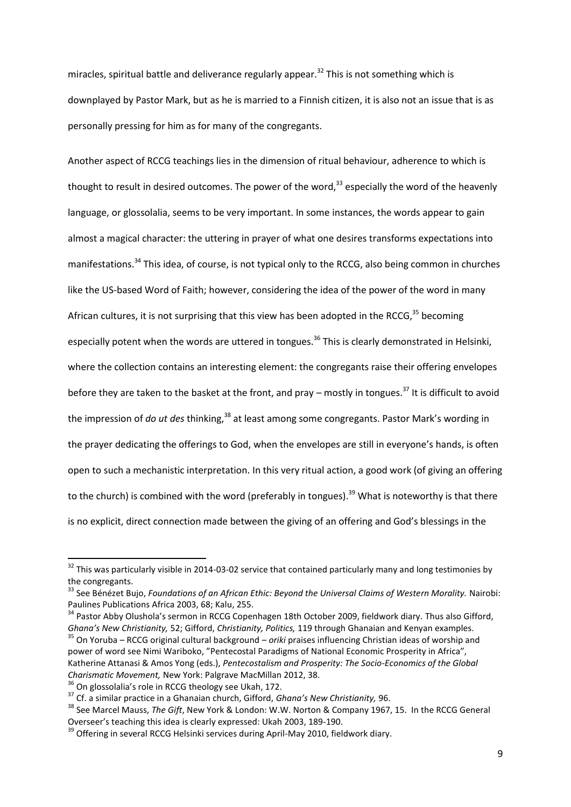miracles, spiritual battle and deliverance regularly appear.<sup>32</sup> This is not something which is downplayed by Pastor Mark, but as he is married to a Finnish citizen, it is also not an issue that is as personally pressing for him as for many of the congregants.

Another aspect of RCCG teachings lies in the dimension of ritual behaviour, adherence to which is thought to result in desired outcomes. The power of the word, $33$  especially the word of the heavenly language, or glossolalia, seems to be very important. In some instances, the words appear to gain almost a magical character: the uttering in prayer of what one desires transforms expectations into manifestations.<sup>34</sup> This idea, of course, is not typical only to the RCCG, also being common in churches like the US-based Word of Faith; however, considering the idea of the power of the word in many African cultures, it is not surprising that this view has been adopted in the RCCG,  $35$  becoming especially potent when the words are uttered in tongues.<sup>36</sup> This is clearly demonstrated in Helsinki, where the collection contains an interesting element: the congregants raise their offering envelopes before they are taken to the basket at the front, and pray – mostly in tongues.<sup>37</sup> It is difficult to avoid the impression of *do ut des* thinking,<sup>38</sup> at least among some congregants. Pastor Mark's wording in the prayer dedicating the offerings to God, when the envelopes are still in everyone's hands, is often open to such a mechanistic interpretation. In this very ritual action, a good work (of giving an offering to the church) is combined with the word (preferably in tongues).<sup>39</sup> What is noteworthy is that there is no explicit, direct connection made between the giving of an offering and God's blessings in the

<sup>&</sup>lt;sup>32</sup> This was particularly visible in 2014-03-02 service that contained particularly many and long testimonies by the congregants.

<sup>33</sup> See Bénézet Bujo, *Foundations of an African Ethic: Beyond the Universal Claims of Western Morality.* Nairobi: Paulines Publications Africa 2003, 68; Kalu, 255.

<sup>&</sup>lt;sup>34</sup> Pastor Abby Olushola's sermon in RCCG Copenhagen 18th October 2009, fieldwork diary. Thus also Gifford, *Ghana's New Christianity,* 52; Gifford, *Christianity, Politics,* 119 through Ghanaian and Kenyan examples.

<sup>35</sup> On Yoruba – RCCG original cultural background – *oriki* praises influencing Christian ideas of worship and power of word see Nimi Wariboko, "Pentecostal Paradigms of National Economic Prosperity in Africa", Katherine Attanasi & Amos Yong (eds.), *Pentecostalism and Prosperity: The Socio-Economics of the Global Charismatic Movement,* New York: Palgrave MacMillan 2012, 38.

 $36$  On glossolalia's role in RCCG theology see Ukah, 172.

<sup>37</sup> Cf. a similar practice in a Ghanaian church, Gifford, *Ghana's New Christianity,* 96.

<sup>38</sup> See Marcel Mauss, *The Gift*, New York & London: W.W. Norton & Company 1967, 15. In the RCCG General Overseer's teaching this idea is clearly expressed: Ukah 2003, 189-190.

<sup>&</sup>lt;sup>39</sup> Offering in several RCCG Helsinki services during April-May 2010, fieldwork diary.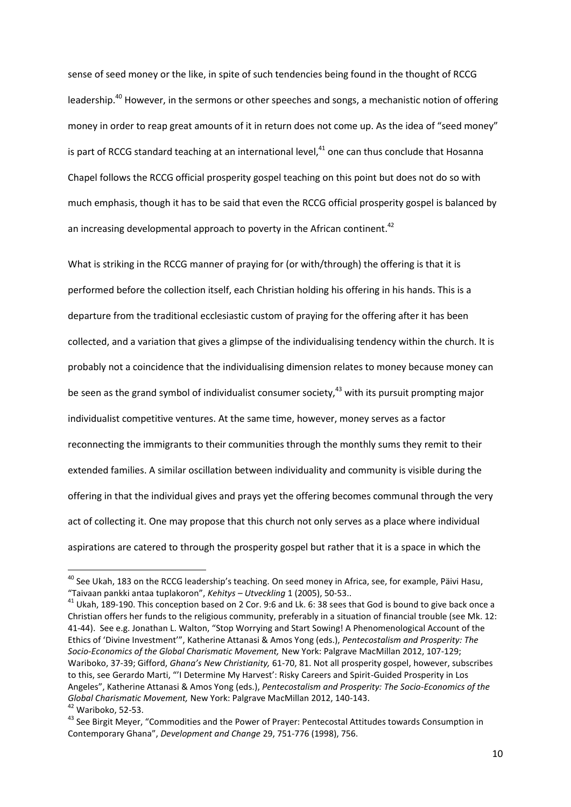sense of seed money or the like, in spite of such tendencies being found in the thought of RCCG leadership.<sup>40</sup> However, in the sermons or other speeches and songs, a mechanistic notion of offering money in order to reap great amounts of it in return does not come up. As the idea of "seed money" is part of RCCG standard teaching at an international level, $41$  one can thus conclude that Hosanna Chapel follows the RCCG official prosperity gospel teaching on this point but does not do so with much emphasis, though it has to be said that even the RCCG official prosperity gospel is balanced by an increasing developmental approach to poverty in the African continent.<sup>42</sup>

What is striking in the RCCG manner of praying for (or with/through) the offering is that it is performed before the collection itself, each Christian holding his offering in his hands. This is a departure from the traditional ecclesiastic custom of praying for the offering after it has been collected, and a variation that gives a glimpse of the individualising tendency within the church. It is probably not a coincidence that the individualising dimension relates to money because money can be seen as the grand symbol of individualist consumer society, $43$  with its pursuit prompting major individualist competitive ventures. At the same time, however, money serves as a factor reconnecting the immigrants to their communities through the monthly sums they remit to their extended families. A similar oscillation between individuality and community is visible during the offering in that the individual gives and prays yet the offering becomes communal through the very act of collecting it. One may propose that this church not only serves as a place where individual aspirations are catered to through the prosperity gospel but rather that it is a space in which the

<sup>&</sup>lt;sup>40</sup> See Ukah, 183 on the RCCG leadership's teaching. On seed money in Africa, see, for example, Päivi Hasu, "Taivaan pankki antaa tuplakoron", *Kehitys – Utveckling* 1 (2005), 50-53..

 $41$  Ukah, 189-190. This conception based on 2 Cor. 9:6 and Lk. 6: 38 sees that God is bound to give back once a Christian offers her funds to the religious community, preferably in a situation of financial trouble (see Mk. 12: 41-44). See e.g. Jonathan L. Walton, "Stop Worrying and Start Sowing! A Phenomenological Account of the Ethics of 'Divine Investment'", Katherine Attanasi & Amos Yong (eds.), *Pentecostalism and Prosperity: The Socio-Economics of the Global Charismatic Movement,* New York: Palgrave MacMillan 2012, 107-129; Wariboko, 37-39; Gifford, *Ghana's New Christianity,* 61-70, 81. Not all prosperity gospel, however, subscribes to this, see Gerardo Marti, "'I Determine My Harvest': Risky Careers and Spirit-Guided Prosperity in Los Angeles", Katherine Attanasi & Amos Yong (eds.), *Pentecostalism and Prosperity: The Socio-Economics of the Global Charismatic Movement,* New York: Palgrave MacMillan 2012, 140-143.

<sup>42</sup> Wariboko, 52-53.

<sup>&</sup>lt;sup>43</sup> See Birgit Meyer, "Commodities and the Power of Prayer: Pentecostal Attitudes towards Consumption in Contemporary Ghana", *Development and Change* 29, 751-776 (1998), 756.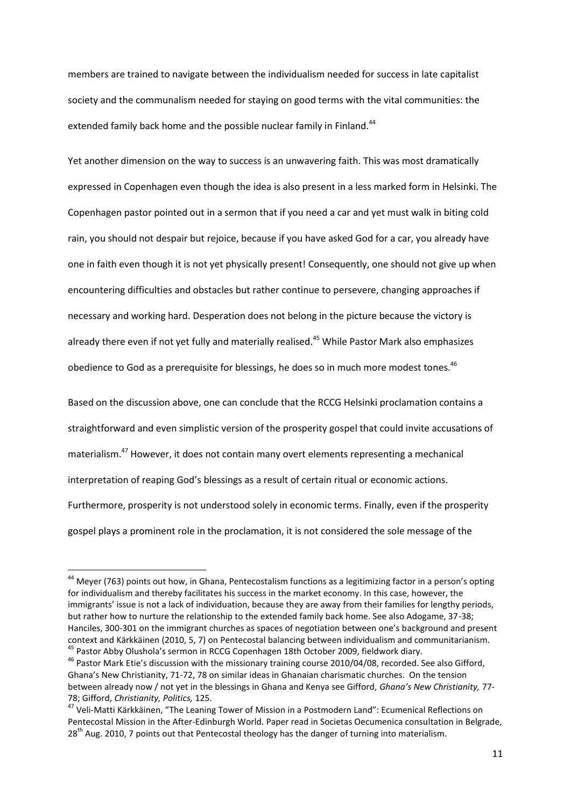members are trained to navigate between the individualism needed for success in late capitalist society and the communalism needed for staying on good terms with the vital communities: the extended family back home and the possible nuclear family in Finland.<sup>44</sup>

Yet another dimension on the way to success is an unwavering faith. This was most dramatically expressed in Copenhagen even though the idea is also present in a less marked form in Helsinki. The Copenhagen pastor pointed out in a sermon that if you need a car and yet must walk in biting cold rain, you should not despair but rejoice, because if you have asked God for a car, you already have one in faith even though it is not yet physically present! Consequently, one should not give up when encountering difficulties and obstacles but rather continue to persevere, changing approaches if necessary and working hard. Desperation does not belong in the picture because the victory is already there even if not yet fully and materially realised.<sup>45</sup> While Pastor Mark also emphasizes obedience to God as a prerequisite for blessings, he does so in much more modest tones.<sup>46</sup>

Based on the discussion above, one can conclude that the RCCG Helsinki proclamation contains a straightforward and even simplistic version of the prosperity gospel that could invite accusations of materialism.<sup>47</sup> However, it does not contain many overt elements representing a mechanical interpretation of reaping God's blessings as a result of certain ritual or economic actions. Furthermore, prosperity is not understood solely in economic terms. Finally, even if the prosperity gospel plays a prominent role in the proclamation, it is not considered the sole message of the

<sup>&</sup>lt;sup>44</sup> Mever (763) points out how, in Ghana, Pentecostalism functions as a legitimizing factor in a person's opting for individualism and thereby facilitates his success in the market economy. In this case, however, the immigrants' issue is not a lack of individuation, because they are away from their families for lengthy periods, but rather how to nurture the relationship to the extended family back home. See also Adogame, 37-38; Hanciles, 300-301 on the immigrant churches as spaces of negotiation between one's background and present context and Kärkkäinen (2010, 5, 7) on Pentecostal balancing between individualism and communitarianism. <sup>45</sup> Pastor Abby Olushola's sermon in RCCG Copenhagen 18th October 2009, fieldwork diary.

<sup>&</sup>lt;sup>46</sup> Pastor Mark Etie's discussion with the missionary training course 2010/04/08, recorded. See also Gifford, Ghana's New Christianity, 71-72, 78 on similar ideas in Ghanaian charismatic churches. On the tension between already now / not yet in the blessings in Ghana and Kenya see Gifford, *Ghana's New Christianity,* 77- 78; Gifford, *Christianity, Politics,* 125.

<sup>&</sup>lt;sup>47</sup> Veli-Matti Kärkkäinen, "The Leaning Tower of Mission in a Postmodern Land": Ecumenical Reflections on Pentecostal Mission in the After-Edinburgh World. Paper read in Societas Oecumenica consultation in Belgrade, 28<sup>th</sup> Aug. 2010, 7 points out that Pentecostal theology has the danger of turning into materialism.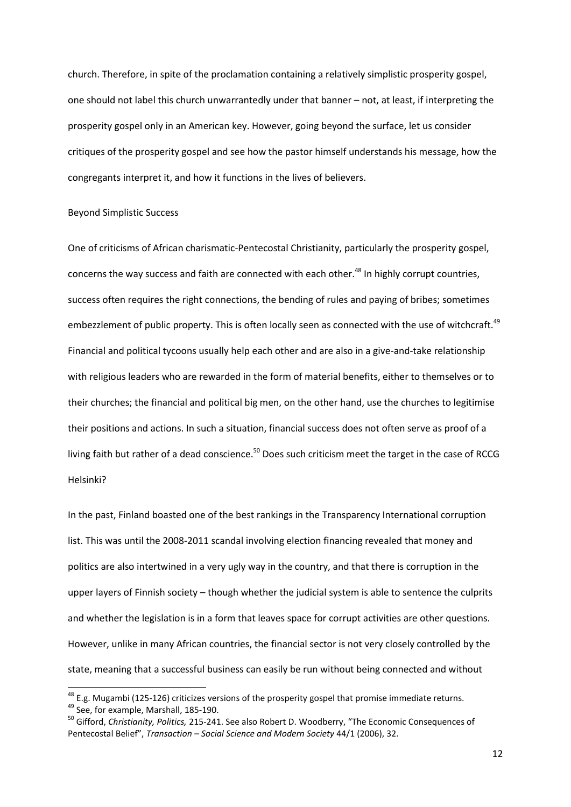church. Therefore, in spite of the proclamation containing a relatively simplistic prosperity gospel, one should not label this church unwarrantedly under that banner – not, at least, if interpreting the prosperity gospel only in an American key. However, going beyond the surface, let us consider critiques of the prosperity gospel and see how the pastor himself understands his message, how the congregants interpret it, and how it functions in the lives of believers.

## Beyond Simplistic Success

1

One of criticisms of African charismatic-Pentecostal Christianity, particularly the prosperity gospel, concerns the way success and faith are connected with each other.<sup>48</sup> In highly corrupt countries, success often requires the right connections, the bending of rules and paying of bribes; sometimes embezzlement of public property. This is often locally seen as connected with the use of witchcraft.<sup>49</sup> Financial and political tycoons usually help each other and are also in a give-and-take relationship with religious leaders who are rewarded in the form of material benefits, either to themselves or to their churches; the financial and political big men, on the other hand, use the churches to legitimise their positions and actions. In such a situation, financial success does not often serve as proof of a living faith but rather of a dead conscience.<sup>50</sup> Does such criticism meet the target in the case of RCCG Helsinki?

In the past, Finland boasted one of the best rankings in the Transparency International corruption list. This was until the 2008-2011 scandal involving election financing revealed that money and politics are also intertwined in a very ugly way in the country, and that there is corruption in the upper layers of Finnish society – though whether the judicial system is able to sentence the culprits and whether the legislation is in a form that leaves space for corrupt activities are other questions. However, unlike in many African countries, the financial sector is not very closely controlled by the state, meaning that a successful business can easily be run without being connected and without

 $48$  E.g. Mugambi (125-126) criticizes versions of the prosperity gospel that promise immediate returns. <sup>49</sup> See, for example, Marshall, 185-190.

<sup>50</sup> Gifford, *Christianity, Politics,* 215-241. See also Robert D. Woodberry, "The Economic Consequences of Pentecostal Belief", *Transaction – Social Science and Modern Society* 44/1 (2006), 32.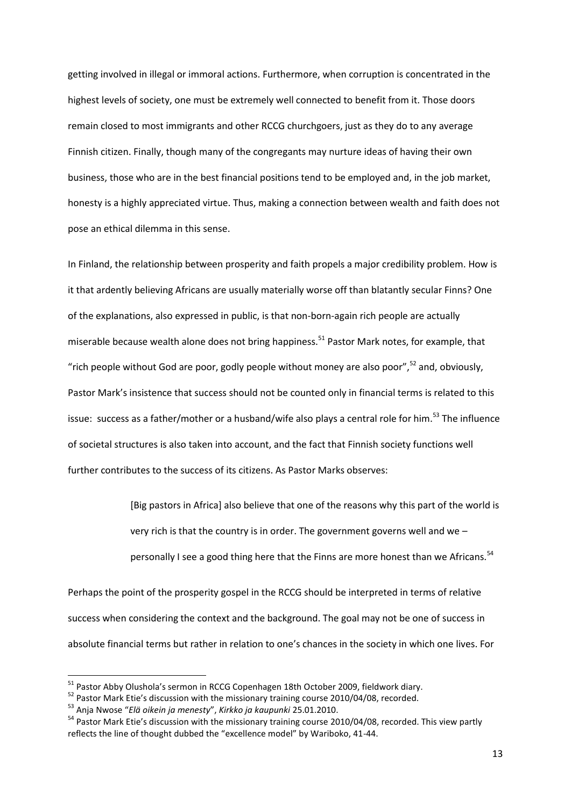getting involved in illegal or immoral actions. Furthermore, when corruption is concentrated in the highest levels of society, one must be extremely well connected to benefit from it. Those doors remain closed to most immigrants and other RCCG churchgoers, just as they do to any average Finnish citizen. Finally, though many of the congregants may nurture ideas of having their own business, those who are in the best financial positions tend to be employed and, in the job market, honesty is a highly appreciated virtue. Thus, making a connection between wealth and faith does not pose an ethical dilemma in this sense.

In Finland, the relationship between prosperity and faith propels a major credibility problem. How is it that ardently believing Africans are usually materially worse off than blatantly secular Finns? One of the explanations, also expressed in public, is that non-born-again rich people are actually miserable because wealth alone does not bring happiness.<sup>51</sup> Pastor Mark notes, for example, that "rich people without God are poor, godly people without money are also poor",  $52$  and, obviously, Pastor Mark's insistence that success should not be counted only in financial terms is related to this issue: success as a father/mother or a husband/wife also plays a central role for him.<sup>53</sup> The influence of societal structures is also taken into account, and the fact that Finnish society functions well further contributes to the success of its citizens. As Pastor Marks observes:

> [Big pastors in Africa] also believe that one of the reasons why this part of the world is very rich is that the country is in order. The government governs well and we – personally I see a good thing here that the Finns are more honest than we Africans.<sup>54</sup>

Perhaps the point of the prosperity gospel in the RCCG should be interpreted in terms of relative success when considering the context and the background. The goal may not be one of success in absolute financial terms but rather in relation to one's chances in the society in which one lives. For

<sup>&</sup>lt;sup>51</sup> Pastor Abby Olushola's sermon in RCCG Copenhagen 18th October 2009, fieldwork diary.

<sup>&</sup>lt;sup>52</sup> Pastor Mark Etie's discussion with the missionary training course 2010/04/08, recorded.

<sup>53</sup> Anja Nwose "*Elä oikein ja menesty*", *Kirkko ja kaupunki* 25.01.2010.

<sup>&</sup>lt;sup>54</sup> Pastor Mark Etie's discussion with the missionary training course 2010/04/08, recorded. This view partly reflects the line of thought dubbed the "excellence model" by Wariboko, 41-44.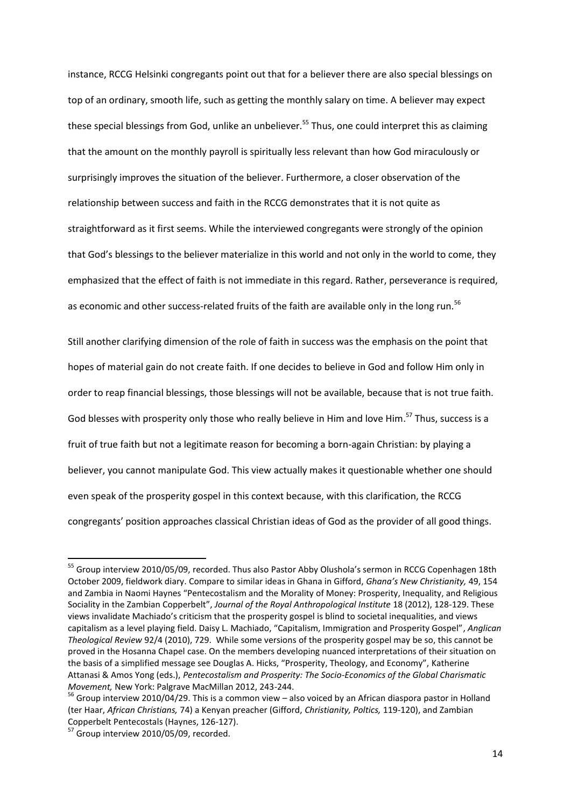instance, RCCG Helsinki congregants point out that for a believer there are also special blessings on top of an ordinary, smooth life, such as getting the monthly salary on time. A believer may expect these special blessings from God, unlike an unbeliever.<sup>55</sup> Thus, one could interpret this as claiming that the amount on the monthly payroll is spiritually less relevant than how God miraculously or surprisingly improves the situation of the believer. Furthermore, a closer observation of the relationship between success and faith in the RCCG demonstrates that it is not quite as straightforward as it first seems. While the interviewed congregants were strongly of the opinion that God's blessings to the believer materialize in this world and not only in the world to come, they emphasized that the effect of faith is not immediate in this regard. Rather, perseverance is required, as economic and other success-related fruits of the faith are available only in the long run.<sup>56</sup>

Still another clarifying dimension of the role of faith in success was the emphasis on the point that hopes of material gain do not create faith. If one decides to believe in God and follow Him only in order to reap financial blessings, those blessings will not be available, because that is not true faith. God blesses with prosperity only those who really believe in Him and love Him.<sup>57</sup> Thus, success is a fruit of true faith but not a legitimate reason for becoming a born-again Christian: by playing a believer, you cannot manipulate God. This view actually makes it questionable whether one should even speak of the prosperity gospel in this context because, with this clarification, the RCCG congregants' position approaches classical Christian ideas of God as the provider of all good things.

<sup>&</sup>lt;sup>55</sup> Group interview 2010/05/09, recorded. Thus also Pastor Abby Olushola's sermon in RCCG Copenhagen 18th October 2009, fieldwork diary. Compare to similar ideas in Ghana in Gifford, *Ghana's New Christianity,* 49, 154 and Zambia in Naomi Haynes "Pentecostalism and the Morality of Money: Prosperity, Inequality, and Religious Sociality in the Zambian Copperbelt", *Journal of the Royal Anthropological Institute* 18 (2012), 128-129. These views invalidate Machiado's criticism that the prosperity gospel is blind to societal inequalities, and views capitalism as a level playing field. Daisy L. Machiado, "Capitalism, Immigration and Prosperity Gospel", *Anglican Theological Review* 92/4 (2010), 729. While some versions of the prosperity gospel may be so, this cannot be proved in the Hosanna Chapel case. On the members developing nuanced interpretations of their situation on the basis of a simplified message see Douglas A. Hicks, "Prosperity, Theology, and Economy", Katherine Attanasi & Amos Yong (eds.), *Pentecostalism and Prosperity: The Socio-Economics of the Global Charismatic Movement,* New York: Palgrave MacMillan 2012, 243-244.

 $56$  Group interview 2010/04/29. This is a common view – also voiced by an African diaspora pastor in Holland (ter Haar, *African Christians,* 74) a Kenyan preacher (Gifford, *Christianity, Poltics,* 119-120), and Zambian Copperbelt Pentecostals (Haynes, 126-127).

<sup>&</sup>lt;sup>57</sup> Group interview 2010/05/09, recorded.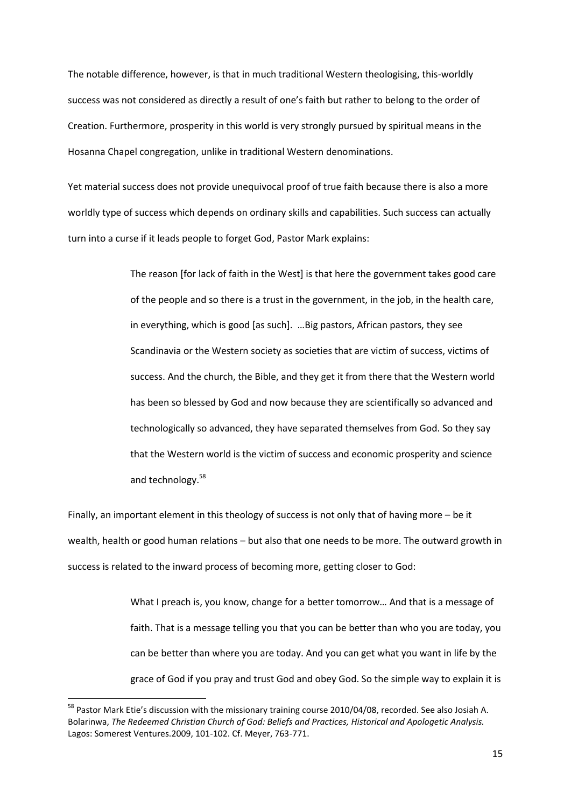The notable difference, however, is that in much traditional Western theologising, this-worldly success was not considered as directly a result of one's faith but rather to belong to the order of Creation. Furthermore, prosperity in this world is very strongly pursued by spiritual means in the Hosanna Chapel congregation, unlike in traditional Western denominations.

Yet material success does not provide unequivocal proof of true faith because there is also a more worldly type of success which depends on ordinary skills and capabilities. Such success can actually turn into a curse if it leads people to forget God, Pastor Mark explains:

> The reason [for lack of faith in the West] is that here the government takes good care of the people and so there is a trust in the government, in the job, in the health care, in everything, which is good [as such]. …Big pastors, African pastors, they see Scandinavia or the Western society as societies that are victim of success, victims of success. And the church, the Bible, and they get it from there that the Western world has been so blessed by God and now because they are scientifically so advanced and technologically so advanced, they have separated themselves from God. So they say that the Western world is the victim of success and economic prosperity and science and technology.<sup>58</sup>

Finally, an important element in this theology of success is not only that of having more – be it wealth, health or good human relations – but also that one needs to be more. The outward growth in success is related to the inward process of becoming more, getting closer to God:

> What I preach is, you know, change for a better tomorrow… And that is a message of faith. That is a message telling you that you can be better than who you are today, you can be better than where you are today. And you can get what you want in life by the grace of God if you pray and trust God and obey God. So the simple way to explain it is

<sup>&</sup>lt;sup>58</sup> Pastor Mark Etie's discussion with the missionary training course 2010/04/08, recorded. See also Josiah A. Bolarinwa, *The Redeemed Christian Church of God: Beliefs and Practices, Historical and Apologetic Analysis.* Lagos: Somerest Ventures.2009, 101-102. Cf. Meyer, 763-771.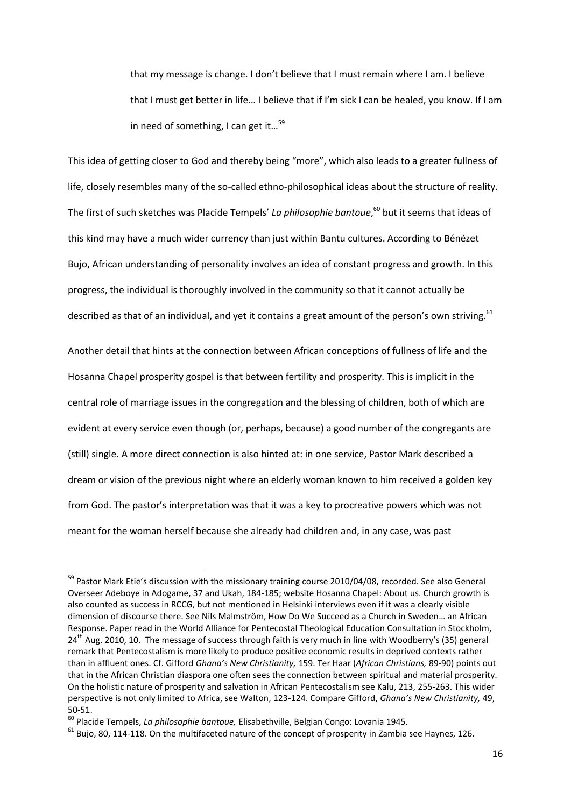that my message is change. I don't believe that I must remain where I am. I believe that I must get better in life… I believe that if I'm sick I can be healed, you know. If I am in need of something, I can get it…<sup>59</sup>

This idea of getting closer to God and thereby being "more", which also leads to a greater fullness of life, closely resembles many of the so-called ethno-philosophical ideas about the structure of reality. The first of such sketches was Placide Tempels' *La philosophie bantoue*, <sup>60</sup> but it seems that ideas of this kind may have a much wider currency than just within Bantu cultures. According to Bénézet Bujo, African understanding of personality involves an idea of constant progress and growth. In this progress, the individual is thoroughly involved in the community so that it cannot actually be described as that of an individual, and yet it contains a great amount of the person's own striving.  $61$ 

Another detail that hints at the connection between African conceptions of fullness of life and the Hosanna Chapel prosperity gospel is that between fertility and prosperity. This is implicit in the central role of marriage issues in the congregation and the blessing of children, both of which are evident at every service even though (or, perhaps, because) a good number of the congregants are (still) single. A more direct connection is also hinted at: in one service, Pastor Mark described a dream or vision of the previous night where an elderly woman known to him received a golden key from God. The pastor's interpretation was that it was a key to procreative powers which was not meant for the woman herself because she already had children and, in any case, was past

<sup>&</sup>lt;sup>59</sup> Pastor Mark Etie's discussion with the missionary training course 2010/04/08, recorded. See also General Overseer Adeboye in Adogame, 37 and Ukah, 184-185; website Hosanna Chapel: About us. Church growth is also counted as success in RCCG, but not mentioned in Helsinki interviews even if it was a clearly visible dimension of discourse there. See Nils Malmström, How Do We Succeed as a Church in Sweden… an African Response. Paper read in the World Alliance for Pentecostal Theological Education Consultation in Stockholm,  $24<sup>th</sup>$  Aug. 2010, 10. The message of success through faith is very much in line with Woodberry's (35) general remark that Pentecostalism is more likely to produce positive economic results in deprived contexts rather than in affluent ones. Cf. Gifford *Ghana's New Christianity,* 159. Ter Haar (*African Christians,* 89-90) points out that in the African Christian diaspora one often sees the connection between spiritual and material prosperity. On the holistic nature of prosperity and salvation in African Pentecostalism see Kalu, 213, 255-263. This wider perspective is not only limited to Africa, see Walton, 123-124. Compare Gifford, *Ghana's New Christianity,* 49, 50-51.

<sup>60</sup> Placide Tempels, *La philosophie bantoue,* Elisabethville, Belgian Congo: Lovania 1945.

 $61$  Bujo, 80, 114-118. On the multifaceted nature of the concept of prosperity in Zambia see Haynes, 126.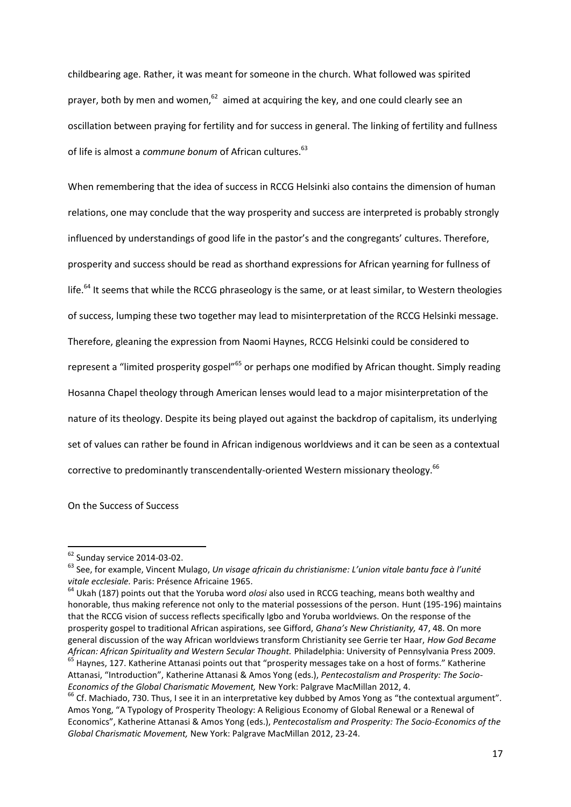childbearing age. Rather, it was meant for someone in the church. What followed was spirited prayer, both by men and women, $62$  aimed at acquiring the key, and one could clearly see an oscillation between praying for fertility and for success in general. The linking of fertility and fullness of life is almost a *commune bonum* of African cultures.<sup>63</sup>

When remembering that the idea of success in RCCG Helsinki also contains the dimension of human relations, one may conclude that the way prosperity and success are interpreted is probably strongly influenced by understandings of good life in the pastor's and the congregants' cultures. Therefore, prosperity and success should be read as shorthand expressions for African yearning for fullness of life.<sup>64</sup> It seems that while the RCCG phraseology is the same, or at least similar, to Western theologies of success, lumping these two together may lead to misinterpretation of the RCCG Helsinki message. Therefore, gleaning the expression from Naomi Haynes, RCCG Helsinki could be considered to represent a "limited prosperity gospel"<sup>65</sup> or perhaps one modified by African thought. Simply reading Hosanna Chapel theology through American lenses would lead to a major misinterpretation of the nature of its theology. Despite its being played out against the backdrop of capitalism, its underlying set of values can rather be found in African indigenous worldviews and it can be seen as a contextual corrective to predominantly transcendentally-oriented Western missionary theology.<sup>66</sup>

On the Success of Success

 $62$  Sunday service 2014-03-02.

<sup>63</sup> See, for example, Vincent Mulago, *Un visage africain du christianisme: L'union vitale bantu face à l'unité vitale ecclesiale.* Paris: Présence Africaine 1965.

<sup>64</sup> Ukah (187) points out that the Yoruba word *olosi* also used in RCCG teaching, means both wealthy and honorable, thus making reference not only to the material possessions of the person. Hunt (195-196) maintains that the RCCG vision of success reflects specifically Igbo and Yoruba worldviews. On the response of the prosperity gospel to traditional African aspirations, see Gifford, *Ghana's New Christianity,* 47, 48. On more general discussion of the way African worldviews transform Christianity see Gerrie ter Haar, *How God Became African: African Spirituality and Western Secular Thought.* Philadelphia: University of Pennsylvania Press 2009.

<sup>65</sup> Haynes, 127. Katherine Attanasi points out that "prosperity messages take on a host of forms." Katherine Attanasi, "Introduction", Katherine Attanasi & Amos Yong (eds.), *Pentecostalism and Prosperity: The Socio-Economics of the Global Charismatic Movement,* New York: Palgrave MacMillan 2012, 4.

 $66$  Cf. Machiado, 730. Thus, I see it in an interpretative key dubbed by Amos Yong as "the contextual argument". Amos Yong, "A Typology of Prosperity Theology: A Religious Economy of Global Renewal or a Renewal of Economics", Katherine Attanasi & Amos Yong (eds.), *Pentecostalism and Prosperity: The Socio-Economics of the Global Charismatic Movement,* New York: Palgrave MacMillan 2012, 23-24.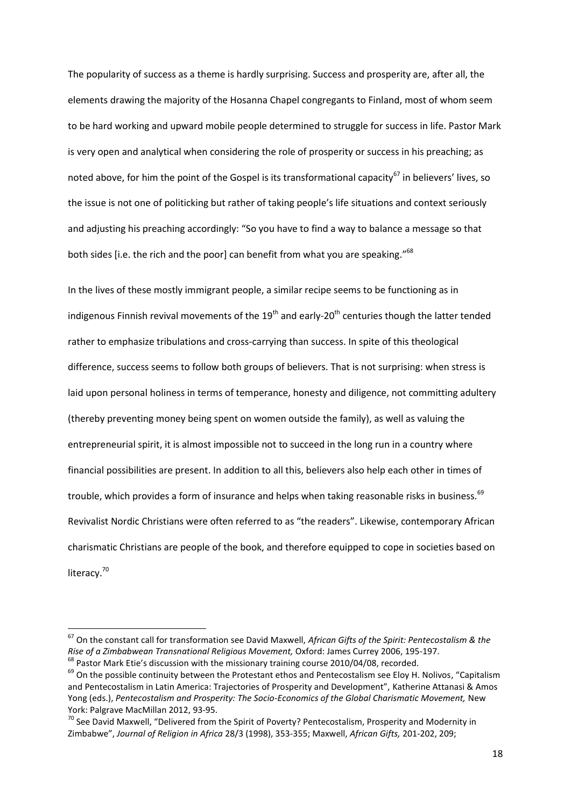The popularity of success as a theme is hardly surprising. Success and prosperity are, after all, the elements drawing the majority of the Hosanna Chapel congregants to Finland, most of whom seem to be hard working and upward mobile people determined to struggle for success in life. Pastor Mark is very open and analytical when considering the role of prosperity or success in his preaching; as noted above, for him the point of the Gospel is its transformational capacity<sup>67</sup> in believers' lives, so the issue is not one of politicking but rather of taking people's life situations and context seriously and adjusting his preaching accordingly: "So you have to find a way to balance a message so that both sides [i.e. the rich and the poor] can benefit from what you are speaking."<sup>68</sup>

In the lives of these mostly immigrant people, a similar recipe seems to be functioning as in indigenous Finnish revival movements of the 19<sup>th</sup> and early-20<sup>th</sup> centuries though the latter tended rather to emphasize tribulations and cross-carrying than success. In spite of this theological difference, success seems to follow both groups of believers. That is not surprising: when stress is laid upon personal holiness in terms of temperance, honesty and diligence, not committing adultery (thereby preventing money being spent on women outside the family), as well as valuing the entrepreneurial spirit, it is almost impossible not to succeed in the long run in a country where financial possibilities are present. In addition to all this, believers also help each other in times of trouble, which provides a form of insurance and helps when taking reasonable risks in business.<sup>69</sup> Revivalist Nordic Christians were often referred to as "the readers". Likewise, contemporary African charismatic Christians are people of the book, and therefore equipped to cope in societies based on literacy.<sup>70</sup>

<sup>67</sup> On the constant call for transformation see David Maxwell, *African Gifts of the Spirit: Pentecostalism & the Rise of a Zimbabwean Transnational Religious Movement,* Oxford: James Currey 2006, 195-197. <sup>68</sup> Pastor Mark Etie's discussion with the missionary training course 2010/04/08, recorded.

<sup>&</sup>lt;sup>69</sup> On the possible continuity between the Protestant ethos and Pentecostalism see Eloy H. Nolivos, "Capitalism and Pentecostalism in Latin America: Trajectories of Prosperity and Development", Katherine Attanasi & Amos Yong (eds.), *Pentecostalism and Prosperity: The Socio-Economics of the Global Charismatic Movement,* New York: Palgrave MacMillan 2012, 93-95.

 $70$  See David Maxwell, "Delivered from the Spirit of Poverty? Pentecostalism, Prosperity and Modernity in Zimbabwe", *Journal of Religion in Africa* 28/3 (1998), 353-355; Maxwell, *African Gifts,* 201-202, 209;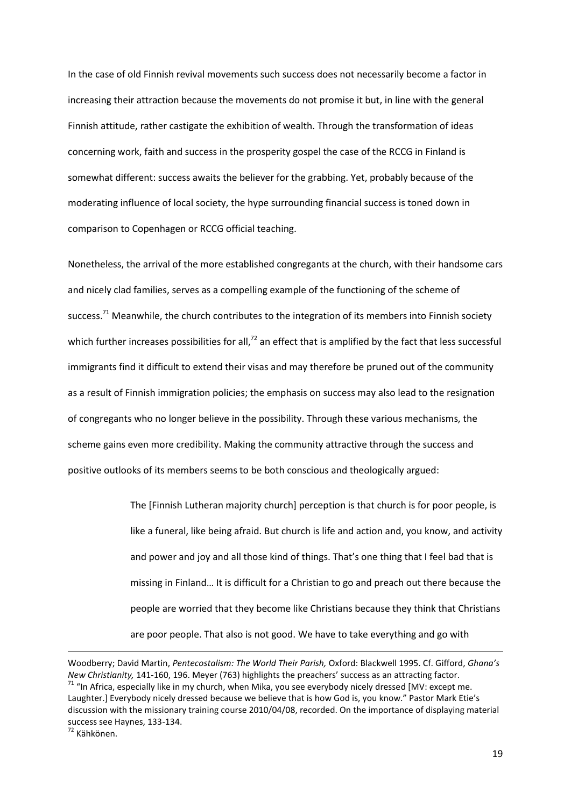In the case of old Finnish revival movements such success does not necessarily become a factor in increasing their attraction because the movements do not promise it but, in line with the general Finnish attitude, rather castigate the exhibition of wealth. Through the transformation of ideas concerning work, faith and success in the prosperity gospel the case of the RCCG in Finland is somewhat different: success awaits the believer for the grabbing. Yet, probably because of the moderating influence of local society, the hype surrounding financial success is toned down in comparison to Copenhagen or RCCG official teaching.

Nonetheless, the arrival of the more established congregants at the church, with their handsome cars and nicely clad families, serves as a compelling example of the functioning of the scheme of success.<sup>71</sup> Meanwhile, the church contributes to the integration of its members into Finnish society which further increases possibilities for all,<sup>72</sup> an effect that is amplified by the fact that less successful immigrants find it difficult to extend their visas and may therefore be pruned out of the community as a result of Finnish immigration policies; the emphasis on success may also lead to the resignation of congregants who no longer believe in the possibility. Through these various mechanisms, the scheme gains even more credibility. Making the community attractive through the success and positive outlooks of its members seems to be both conscious and theologically argued:

> The [Finnish Lutheran majority church] perception is that church is for poor people, is like a funeral, like being afraid. But church is life and action and, you know, and activity and power and joy and all those kind of things. That's one thing that I feel bad that is missing in Finland… It is difficult for a Christian to go and preach out there because the people are worried that they become like Christians because they think that Christians are poor people. That also is not good. We have to take everything and go with

Woodberry; David Martin, *Pentecostalism: The World Their Parish,* Oxford: Blackwell 1995. Cf. Gifford, *Ghana's New Christianity,* 141-160, 196. Meyer (763) highlights the preachers' success as an attracting factor.  $71$  "In Africa, especially like in my church, when Mika, you see everybody nicely dressed [MV: except me. Laughter.] Everybody nicely dressed because we believe that is how God is, you know." Pastor Mark Etie's discussion with the missionary training course 2010/04/08, recorded. On the importance of displaying material success see Haynes, 133-134.

<sup>&</sup>lt;sup>72</sup> Kähkönen.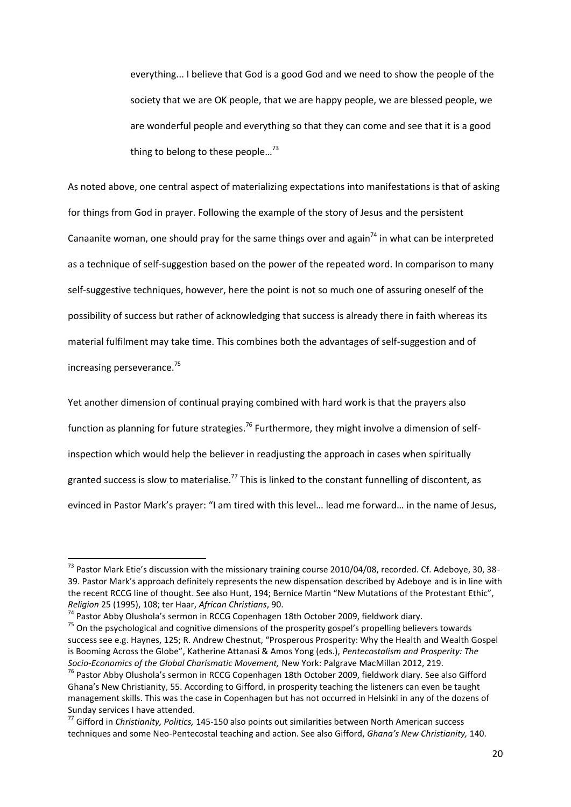everything... I believe that God is a good God and we need to show the people of the society that we are OK people, that we are happy people, we are blessed people, we are wonderful people and everything so that they can come and see that it is a good thing to belong to these people...<sup>73</sup>

As noted above, one central aspect of materializing expectations into manifestations is that of asking for things from God in prayer. Following the example of the story of Jesus and the persistent Canaanite woman, one should pray for the same things over and again<sup>74</sup> in what can be interpreted as a technique of self-suggestion based on the power of the repeated word. In comparison to many self-suggestive techniques, however, here the point is not so much one of assuring oneself of the possibility of success but rather of acknowledging that success is already there in faith whereas its material fulfilment may take time. This combines both the advantages of self-suggestion and of increasing perseverance.<sup>75</sup>

Yet another dimension of continual praying combined with hard work is that the prayers also function as planning for future strategies.<sup>76</sup> Furthermore, they might involve a dimension of selfinspection which would help the believer in readjusting the approach in cases when spiritually granted success is slow to materialise.<sup>77</sup> This is linked to the constant funnelling of discontent, as evinced in Pastor Mark's prayer: "I am tired with this level… lead me forward… in the name of Jesus,

<sup>&</sup>lt;sup>73</sup> Pastor Mark Etie's discussion with the missionary training course 2010/04/08, recorded. Cf. Adeboye, 30, 38-39. Pastor Mark's approach definitely represents the new dispensation described by Adeboye and is in line with the recent RCCG line of thought. See also Hunt, 194; Bernice Martin "New Mutations of the Protestant Ethic", *Religion* 25 (1995), 108; ter Haar, *African Christians*, 90.

<sup>&</sup>lt;sup>74</sup> Pastor Abby Olushola's sermon in RCCG Copenhagen 18th October 2009, fieldwork diary.

<sup>&</sup>lt;sup>75</sup> On the psychological and cognitive dimensions of the prosperity gospel's propelling believers towards success see e.g. Haynes, 125; R. Andrew Chestnut, "Prosperous Prosperity: Why the Health and Wealth Gospel is Booming Across the Globe", Katherine Attanasi & Amos Yong (eds.), *Pentecostalism and Prosperity: The Socio-Economics of the Global Charismatic Movement,* New York: Palgrave MacMillan 2012, 219.

<sup>&</sup>lt;sup>76</sup> Pastor Abby Olushola's sermon in RCCG Copenhagen 18th October 2009, fieldwork diary. See also Gifford Ghana's New Christianity, 55. According to Gifford, in prosperity teaching the listeners can even be taught management skills. This was the case in Copenhagen but has not occurred in Helsinki in any of the dozens of Sunday services I have attended.

<sup>77</sup> Gifford in *Christianity, Politics,* 145-150 also points out similarities between North American success techniques and some Neo-Pentecostal teaching and action. See also Gifford, *Ghana's New Christianity,* 140.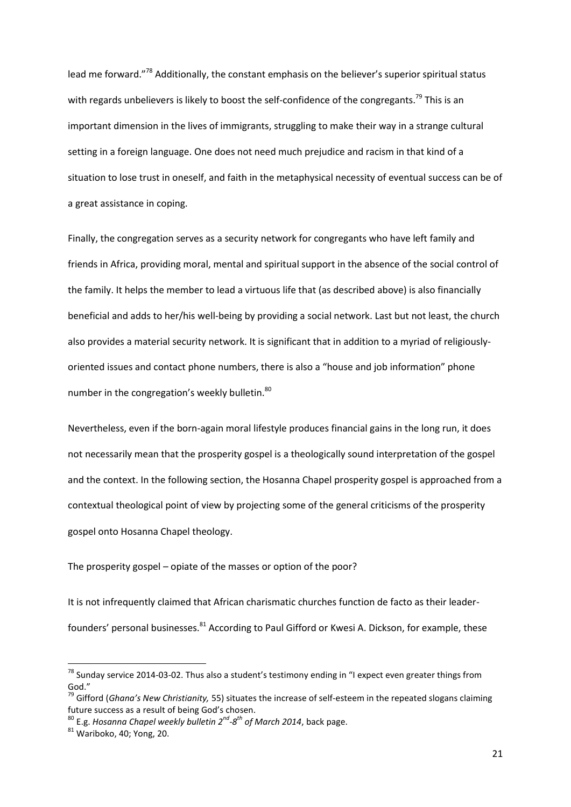lead me forward."<sup>78</sup> Additionally, the constant emphasis on the believer's superior spiritual status with regards unbelievers is likely to boost the self-confidence of the congregants.<sup>79</sup> This is an important dimension in the lives of immigrants, struggling to make their way in a strange cultural setting in a foreign language. One does not need much prejudice and racism in that kind of a situation to lose trust in oneself, and faith in the metaphysical necessity of eventual success can be of a great assistance in coping.

Finally, the congregation serves as a security network for congregants who have left family and friends in Africa, providing moral, mental and spiritual support in the absence of the social control of the family. It helps the member to lead a virtuous life that (as described above) is also financially beneficial and adds to her/his well-being by providing a social network. Last but not least, the church also provides a material security network. It is significant that in addition to a myriad of religiouslyoriented issues and contact phone numbers, there is also a "house and job information" phone number in the congregation's weekly bulletin.<sup>80</sup>

Nevertheless, even if the born-again moral lifestyle produces financial gains in the long run, it does not necessarily mean that the prosperity gospel is a theologically sound interpretation of the gospel and the context. In the following section, the Hosanna Chapel prosperity gospel is approached from a contextual theological point of view by projecting some of the general criticisms of the prosperity gospel onto Hosanna Chapel theology.

The prosperity gospel – opiate of the masses or option of the poor?

It is not infrequently claimed that African charismatic churches function de facto as their leaderfounders' personal businesses.<sup>81</sup> According to Paul Gifford or Kwesi A. Dickson, for example, these

 $^{78}$  Sunday service 2014-03-02. Thus also a student's testimony ending in "I expect even greater things from God."

<sup>&</sup>lt;sup>79</sup> Gifford (*Ghana's New Christianity*, 55) situates the increase of self-esteem in the repeated slogans claiming future success as a result of being God's chosen.

<sup>80</sup> E.g. *Hosanna Chapel weekly bulletin 2nd -8 th of March 2014*, back page.

 $81$  Wariboko, 40; Yong, 20.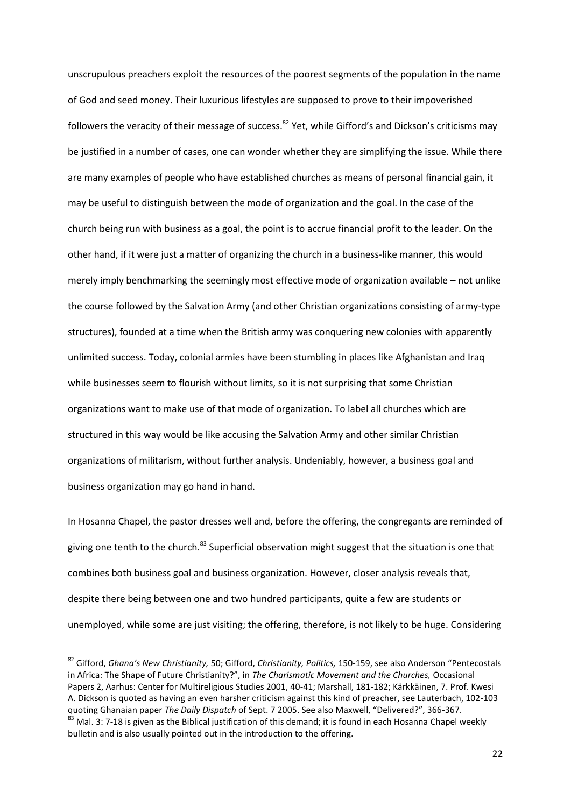unscrupulous preachers exploit the resources of the poorest segments of the population in the name of God and seed money. Their luxurious lifestyles are supposed to prove to their impoverished followers the veracity of their message of success.<sup>82</sup> Yet, while Gifford's and Dickson's criticisms may be justified in a number of cases, one can wonder whether they are simplifying the issue. While there are many examples of people who have established churches as means of personal financial gain, it may be useful to distinguish between the mode of organization and the goal. In the case of the church being run with business as a goal, the point is to accrue financial profit to the leader. On the other hand, if it were just a matter of organizing the church in a business-like manner, this would merely imply benchmarking the seemingly most effective mode of organization available – not unlike the course followed by the Salvation Army (and other Christian organizations consisting of army-type structures), founded at a time when the British army was conquering new colonies with apparently unlimited success. Today, colonial armies have been stumbling in places like Afghanistan and Iraq while businesses seem to flourish without limits, so it is not surprising that some Christian organizations want to make use of that mode of organization. To label all churches which are structured in this way would be like accusing the Salvation Army and other similar Christian organizations of militarism, without further analysis. Undeniably, however, a business goal and business organization may go hand in hand.

In Hosanna Chapel, the pastor dresses well and, before the offering, the congregants are reminded of giving one tenth to the church.<sup>83</sup> Superficial observation might suggest that the situation is one that combines both business goal and business organization. However, closer analysis reveals that, despite there being between one and two hundred participants, quite a few are students or unemployed, while some are just visiting; the offering, therefore, is not likely to be huge. Considering

<sup>1</sup> <sup>82</sup> Gifford, *Ghana's New Christianity,* 50; Gifford, *Christianity, Politics,* 150-159, see also Anderson "Pentecostals in Africa: The Shape of Future Christianity?", in *The Charismatic Movement and the Churches,* Occasional Papers 2, Aarhus: Center for Multireligious Studies 2001, 40-41; Marshall, 181-182; Kärkkäinen, 7. Prof. Kwesi A. Dickson is quoted as having an even harsher criticism against this kind of preacher, see Lauterbach, 102-103 quoting Ghanaian paper *The Daily Dispatch* of Sept. 7 2005. See also Maxwell, "Delivered?", 366-367.

 $83$  Mal. 3: 7-18 is given as the Biblical justification of this demand; it is found in each Hosanna Chapel weekly bulletin and is also usually pointed out in the introduction to the offering.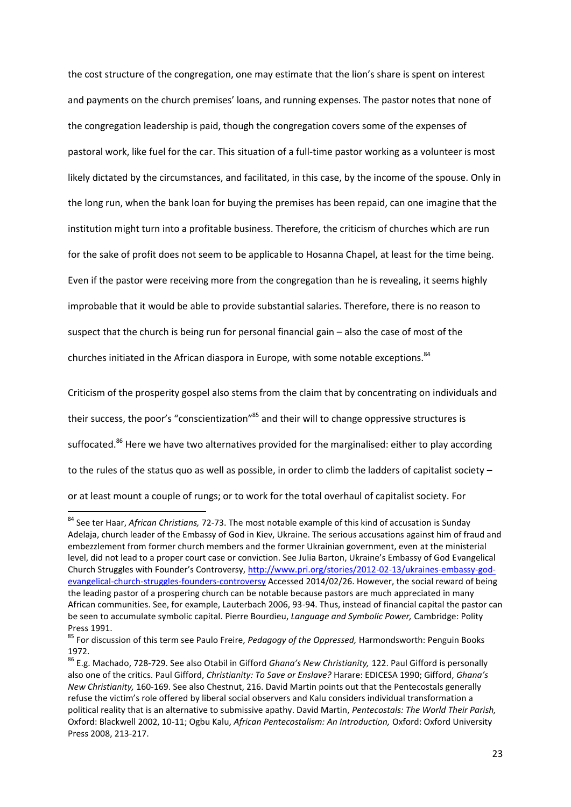the cost structure of the congregation, one may estimate that the lion's share is spent on interest and payments on the church premises' loans, and running expenses. The pastor notes that none of the congregation leadership is paid, though the congregation covers some of the expenses of pastoral work, like fuel for the car. This situation of a full-time pastor working as a volunteer is most likely dictated by the circumstances, and facilitated, in this case, by the income of the spouse. Only in the long run, when the bank loan for buying the premises has been repaid, can one imagine that the institution might turn into a profitable business. Therefore, the criticism of churches which are run for the sake of profit does not seem to be applicable to Hosanna Chapel, at least for the time being. Even if the pastor were receiving more from the congregation than he is revealing, it seems highly improbable that it would be able to provide substantial salaries. Therefore, there is no reason to suspect that the church is being run for personal financial gain – also the case of most of the churches initiated in the African diaspora in Europe, with some notable exceptions.<sup>84</sup>

Criticism of the prosperity gospel also stems from the claim that by concentrating on individuals and their success, the poor's "conscientization"<sup>85</sup> and their will to change oppressive structures is suffocated.<sup>86</sup> Here we have two alternatives provided for the marginalised: either to play according to the rules of the status quo as well as possible, in order to climb the ladders of capitalist society – or at least mount a couple of rungs; or to work for the total overhaul of capitalist society. For

<sup>84</sup> See ter Haar, *African Christians,* 72-73. The most notable example of this kind of accusation is Sunday Adelaja, church leader of the Embassy of God in Kiev, Ukraine. The serious accusations against him of fraud and embezzlement from former church members and the former Ukrainian government, even at the ministerial level, did not lead to a proper court case or conviction. See Julia Barton, Ukraine's Embassy of God Evangelical Church Struggles with Founder's Controversy, [http://www.pri.org/stories/2012-02-13/ukraines-embassy-god](http://www.pri.org/stories/2012-02-13/ukraines-embassy-god-evangelical-church-struggles-founders-controversy)[evangelical-church-struggles-founders-controversy](http://www.pri.org/stories/2012-02-13/ukraines-embassy-god-evangelical-church-struggles-founders-controversy) Accessed 2014/02/26. However, the social reward of being the leading pastor of a prospering church can be notable because pastors are much appreciated in many African communities. See, for example, Lauterbach 2006, 93-94. Thus, instead of financial capital the pastor can be seen to accumulate symbolic capital. Pierre Bourdieu, *Language and Symbolic Power,* Cambridge: Polity Press 1991.

<sup>85</sup> For discussion of this term see Paulo Freire, *Pedagogy of the Oppressed,* Harmondsworth: Penguin Books 1972.

<sup>86</sup> E.g. Machado, 728-729. See also Otabil in Gifford *Ghana's New Christianity,* 122. Paul Gifford is personally also one of the critics. Paul Gifford, *Christianity: To Save or Enslave?* Harare: EDICESA 1990; Gifford, *Ghana's New Christianity,* 160-169. See also Chestnut, 216. David Martin points out that the Pentecostals generally refuse the victim's role offered by liberal social observers and Kalu considers individual transformation a political reality that is an alternative to submissive apathy. David Martin, *Pentecostals: The World Their Parish,* Oxford: Blackwell 2002, 10-11; Ogbu Kalu, *African Pentecostalism: An Introduction,* Oxford: Oxford University Press 2008, 213-217.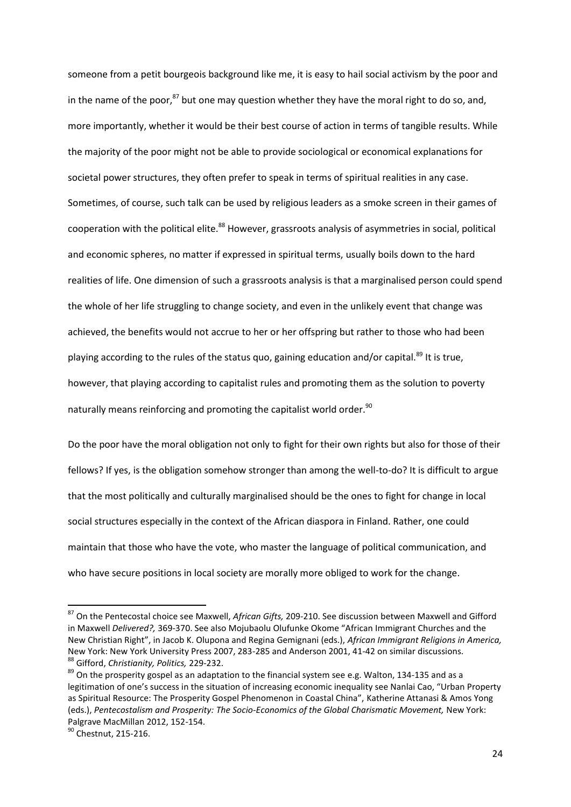someone from a petit bourgeois background like me, it is easy to hail social activism by the poor and in the name of the poor, $^{87}$  but one may question whether they have the moral right to do so, and, more importantly, whether it would be their best course of action in terms of tangible results. While the majority of the poor might not be able to provide sociological or economical explanations for societal power structures, they often prefer to speak in terms of spiritual realities in any case. Sometimes, of course, such talk can be used by religious leaders as a smoke screen in their games of cooperation with the political elite.<sup>88</sup> However, grassroots analysis of asymmetries in social, political and economic spheres, no matter if expressed in spiritual terms, usually boils down to the hard realities of life. One dimension of such a grassroots analysis is that a marginalised person could spend the whole of her life struggling to change society, and even in the unlikely event that change was achieved, the benefits would not accrue to her or her offspring but rather to those who had been playing according to the rules of the status quo, gaining education and/or capital. $89$  It is true, however, that playing according to capitalist rules and promoting them as the solution to poverty naturally means reinforcing and promoting the capitalist world order.<sup>90</sup>

Do the poor have the moral obligation not only to fight for their own rights but also for those of their fellows? If yes, is the obligation somehow stronger than among the well-to-do? It is difficult to argue that the most politically and culturally marginalised should be the ones to fight for change in local social structures especially in the context of the African diaspora in Finland. Rather, one could maintain that those who have the vote, who master the language of political communication, and who have secure positions in local society are morally more obliged to work for the change.

<sup>87</sup> On the Pentecostal choice see Maxwell, *African Gifts,* 209-210. See discussion between Maxwell and Gifford in Maxwell *Delivered?,* 369-370. See also Mojubaolu Olufunke Okome "African Immigrant Churches and the New Christian Right", in Jacob K. Olupona and Regina Gemignani (eds.), *African Immigrant Religions in America,* New York: New York University Press 2007, 283-285 and Anderson 2001, 41-42 on similar discussions. <sup>88</sup> Gifford, *Christianity, Politics,* 229-232.

<sup>&</sup>lt;sup>89</sup> On the prosperity gospel as an adaptation to the financial system see e.g. Walton, 134-135 and as a legitimation of one's success in the situation of increasing economic inequality see Nanlai Cao, "Urban Property as Spiritual Resource: The Prosperity Gospel Phenomenon in Coastal China", Katherine Attanasi & Amos Yong (eds.), *Pentecostalism and Prosperity: The Socio-Economics of the Global Charismatic Movement,* New York: Palgrave MacMillan 2012, 152-154.

<sup>&</sup>lt;sup>90</sup> Chestnut, 215-216.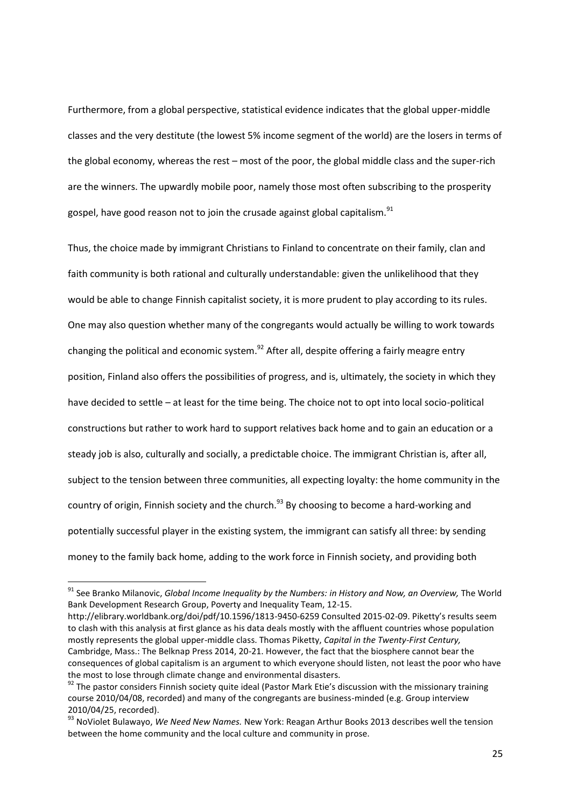Furthermore, from a global perspective, statistical evidence indicates that the global upper-middle classes and the very destitute (the lowest 5% income segment of the world) are the losers in terms of the global economy, whereas the rest – most of the poor, the global middle class and the super-rich are the winners. The upwardly mobile poor, namely those most often subscribing to the prosperity gospel, have good reason not to join the crusade against global capitalism.<sup>91</sup>

Thus, the choice made by immigrant Christians to Finland to concentrate on their family, clan and faith community is both rational and culturally understandable: given the unlikelihood that they would be able to change Finnish capitalist society, it is more prudent to play according to its rules. One may also question whether many of the congregants would actually be willing to work towards changing the political and economic system.<sup>92</sup> After all, despite offering a fairly meagre entry position, Finland also offers the possibilities of progress, and is, ultimately, the society in which they have decided to settle – at least for the time being. The choice not to opt into local socio-political constructions but rather to work hard to support relatives back home and to gain an education or a steady job is also, culturally and socially, a predictable choice. The immigrant Christian is, after all, subject to the tension between three communities, all expecting loyalty: the home community in the country of origin, Finnish society and the church.<sup>93</sup> By choosing to become a hard-working and potentially successful player in the existing system, the immigrant can satisfy all three: by sending money to the family back home, adding to the work force in Finnish society, and providing both

<sup>91</sup> See Branko Milanovic, *Global Income Inequality by the Numbers: in History and Now, an Overview,* The World Bank Development Research Group, Poverty and Inequality Team, 12-15.

http://elibrary.worldbank.org/doi/pdf/10.1596/1813-9450-6259 Consulted 2015-02-09. Piketty's results seem to clash with this analysis at first glance as his data deals mostly with the affluent countries whose population mostly represents the global upper-middle class. Thomas Piketty, *Capital in the Twenty-First Century,* Cambridge, Mass.: The Belknap Press 2014, 20-21. However, the fact that the biosphere cannot bear the consequences of global capitalism is an argument to which everyone should listen, not least the poor who have the most to lose through climate change and environmental disasters.

<sup>&</sup>lt;sup>92</sup> The pastor considers Finnish society quite ideal (Pastor Mark Etie's discussion with the missionary training course 2010/04/08, recorded) and many of the congregants are business-minded (e.g. Group interview 2010/04/25, recorded).

<sup>93</sup> NoViolet Bulawayo, *We Need New Names.* New York: Reagan Arthur Books 2013 describes well the tension between the home community and the local culture and community in prose.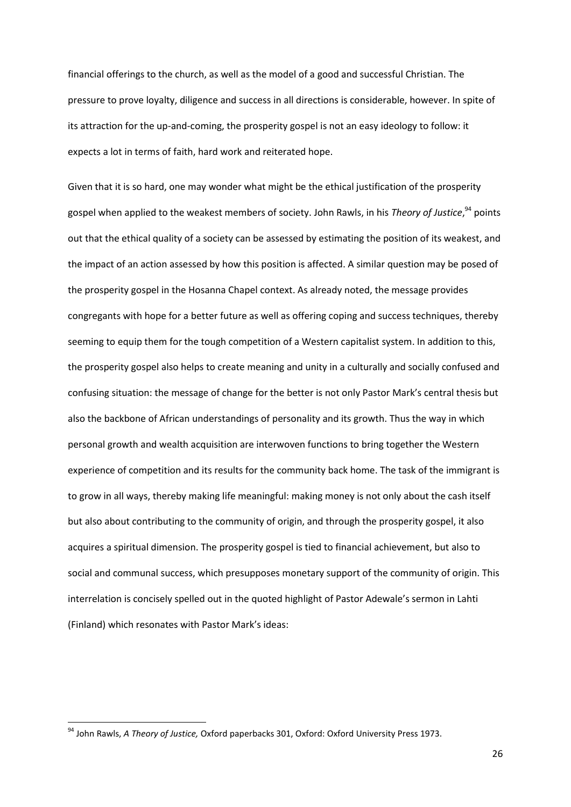financial offerings to the church, as well as the model of a good and successful Christian. The pressure to prove loyalty, diligence and success in all directions is considerable, however. In spite of its attraction for the up-and-coming, the prosperity gospel is not an easy ideology to follow: it expects a lot in terms of faith, hard work and reiterated hope.

Given that it is so hard, one may wonder what might be the ethical justification of the prosperity gospel when applied to the weakest members of society. John Rawls, in his *Theory of Justice*, <sup>94</sup> points out that the ethical quality of a society can be assessed by estimating the position of its weakest, and the impact of an action assessed by how this position is affected. A similar question may be posed of the prosperity gospel in the Hosanna Chapel context. As already noted, the message provides congregants with hope for a better future as well as offering coping and success techniques, thereby seeming to equip them for the tough competition of a Western capitalist system. In addition to this, the prosperity gospel also helps to create meaning and unity in a culturally and socially confused and confusing situation: the message of change for the better is not only Pastor Mark's central thesis but also the backbone of African understandings of personality and its growth. Thus the way in which personal growth and wealth acquisition are interwoven functions to bring together the Western experience of competition and its results for the community back home. The task of the immigrant is to grow in all ways, thereby making life meaningful: making money is not only about the cash itself but also about contributing to the community of origin, and through the prosperity gospel, it also acquires a spiritual dimension. The prosperity gospel is tied to financial achievement, but also to social and communal success, which presupposes monetary support of the community of origin. This interrelation is concisely spelled out in the quoted highlight of Pastor Adewale's sermon in Lahti (Finland) which resonates with Pastor Mark's ideas:

<sup>94</sup> John Rawls, *A Theory of Justice,* Oxford paperbacks 301, Oxford: Oxford University Press 1973.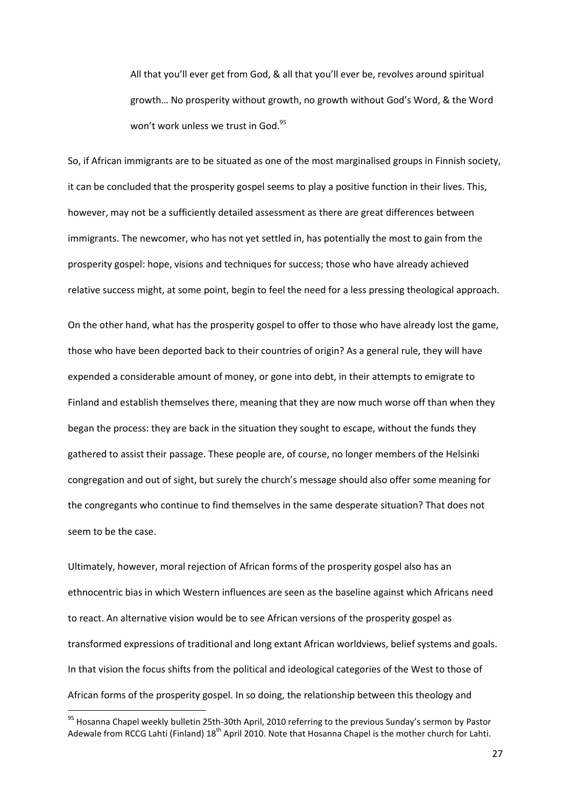All that you'll ever get from God, & all that you'll ever be, revolves around spiritual growth… No prosperity without growth, no growth without God's Word, & the Word won't work unless we trust in God.<sup>95</sup>

So, if African immigrants are to be situated as one of the most marginalised groups in Finnish society, it can be concluded that the prosperity gospel seems to play a positive function in their lives. This, however, may not be a sufficiently detailed assessment as there are great differences between immigrants. The newcomer, who has not yet settled in, has potentially the most to gain from the prosperity gospel: hope, visions and techniques for success; those who have already achieved relative success might, at some point, begin to feel the need for a less pressing theological approach.

On the other hand, what has the prosperity gospel to offer to those who have already lost the game, those who have been deported back to their countries of origin? As a general rule, they will have expended a considerable amount of money, or gone into debt, in their attempts to emigrate to Finland and establish themselves there, meaning that they are now much worse off than when they began the process: they are back in the situation they sought to escape, without the funds they gathered to assist their passage. These people are, of course, no longer members of the Helsinki congregation and out of sight, but surely the church's message should also offer some meaning for the congregants who continue to find themselves in the same desperate situation? That does not seem to be the case.

Ultimately, however, moral rejection of African forms of the prosperity gospel also has an ethnocentric bias in which Western influences are seen as the baseline against which Africans need to react. An alternative vision would be to see African versions of the prosperity gospel as transformed expressions of traditional and long extant African worldviews, belief systems and goals. In that vision the focus shifts from the political and ideological categories of the West to those of African forms of the prosperity gospel. In so doing, the relationship between this theology and

<sup>&</sup>lt;sup>95</sup> Hosanna Chapel weekly bulletin 25th-30th April, 2010 referring to the previous Sunday's sermon by Pastor Adewale from RCCG Lahti (Finland) 18<sup>th</sup> April 2010. Note that Hosanna Chapel is the mother church for Lahti.